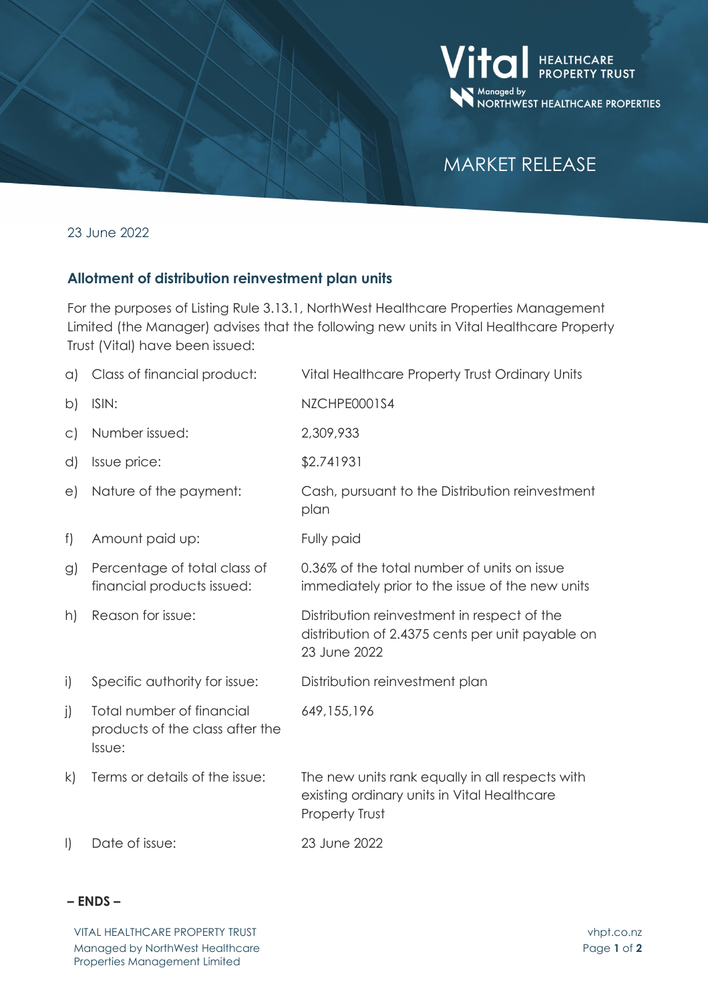

# MARKET RELEASE

23 June 2022

## **Allotment of distribution reinvestment plan units**

For the purposes of Listing Rule 3.13.1, NorthWest Healthcare Properties Management Limited (the Manager) advises that the following new units in Vital Healthcare Property Trust (Vital) have been issued:

| a)            | Class of financial product:                                            | Vital Healthcare Property Trust Ordinary Units                                                                   |
|---------------|------------------------------------------------------------------------|------------------------------------------------------------------------------------------------------------------|
| b)            | ISIN:                                                                  | NZCHPE0001S4                                                                                                     |
| $\subset$     | Number issued:                                                         | 2,309,933                                                                                                        |
| d)            | Issue price:                                                           | \$2.741931                                                                                                       |
| e)            | Nature of the payment:                                                 | Cash, pursuant to the Distribution reinvestment<br>plan                                                          |
| f)            | Amount paid up:                                                        | Fully paid                                                                                                       |
| $\mathcal{G}$ | Percentage of total class of<br>financial products issued:             | 0.36% of the total number of units on issue<br>immediately prior to the issue of the new units                   |
| h)            | Reason for issue:                                                      | Distribution reinvestment in respect of the<br>distribution of 2.4375 cents per unit payable on<br>23 June 2022  |
| i)            | Specific authority for issue:                                          | Distribution reinvestment plan                                                                                   |
| $\mathbf{j}$  | Total number of financial<br>products of the class after the<br>Issue: | 649, 155, 196                                                                                                    |
| k)            | Terms or details of the issue:                                         | The new units rank equally in all respects with<br>existing ordinary units in Vital Healthcare<br>Property Trust |
| $\vert$       | Date of issue:                                                         | 23 June 2022                                                                                                     |

## **– ENDS –**